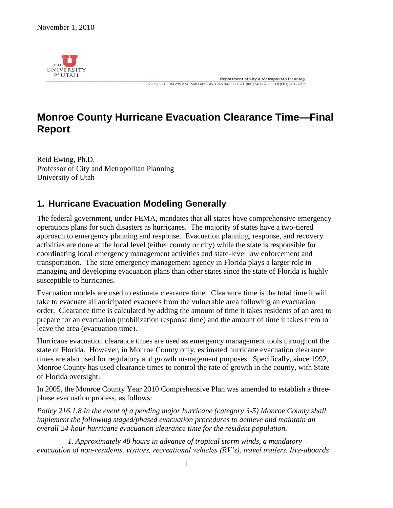

Department of City & Metropolitan Planning 375 \$ 1530 E RM 235 AAC Salt Lake City, Utah 84112-0370 (801) 581-8255 FAX (801) 581-8217

# **Monroe County Hurricane Evacuation Clearance Time—Final Report**

Reid Ewing, Ph.D. Professor of City and Metropolitan Planning University of Utah

# **1. Hurricane Evacuation Modeling Generally**

The federal government, under FEMA, mandates that all states have comprehensive emergency operations plans for such disasters as hurricanes. The majority of states have a two-tiered approach to emergency planning and response. Evacuation planning, response, and recovery activities are done at the local level (either county or city) while the state is responsible for coordinating local emergency management activities and state-level law enforcement and transportation. The state emergency management agency in Florida plays a larger role in managing and developing evacuation plans than other states since the state of Florida is highly susceptible to hurricanes.

Evacuation models are used to estimate clearance time. Clearance time is the total time it will take to evacuate all anticipated evacuees from the vulnerable area following an evacuation order. Clearance time is calculated by adding the amount of time it takes residents of an area to prepare for an evacuation (mobilization response time) and the amount of time it takes them to leave the area (evacuation time).

Hurricane evacuation clearance times are used as emergency management tools throughout the state of Florida. However, in Monroe County only, estimated hurricane evacuation clearance times are also used for regulatory and growth management purposes. Specifically, since 1992, Monroe County has used clearance times to control the rate of growth in the county, with State of Florida oversight.

In 2005, the Monroe County Year 2010 Comprehensive Plan was amended to establish a threephase evacuation process, as follows:

*Policy 216.1.8 In the event of a pending major hurricane (category 3-5) Monroe County shall implement the following staged/phased evacuation procedures to achieve and maintain an overall 24-hour hurricane evacuation clearance time for the resident population.* 

 *1. Approximately 48 hours in advance of tropical storm winds, a mandatory evacuation of non-residents, visitors, recreational vehicles (RV's), travel trailers, live-aboards*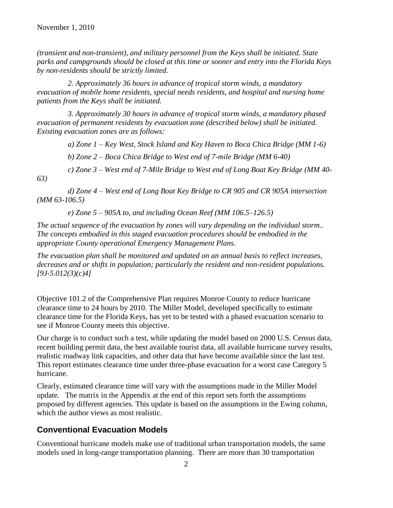*(transient and non-transient), and military personnel from the Keys shall be initiated. State parks and campgrounds should be closed at this time or sooner and entry into the Florida Keys by non-residents should be strictly limited.* 

 *2. Approximately 36 hours in advance of tropical storm winds, a mandatory evacuation of mobile home residents, special needs residents, and hospital and nursing home patients from the Keys shall be initiated.* 

 *3. Approximately 30 hours in advance of tropical storm winds, a mandatory phased evacuation of permanent residents by evacuation zone (described below) shall be initiated. Existing evacuation zones are as follows:* 

 *a) Zone 1 – Key West, Stock Island and Key Haven to Boca Chica Bridge (MM 1-6)* 

 *b) Zone 2 – Boca Chica Bridge to West end of 7-mile Bridge (MM 6-40)* 

 *c) Zone 3 – West end of 7-Mile Bridge to West end of Long Boat Key Bridge (MM 40- 63)* 

 *d) Zone 4 – West end of Long Boat Key Bridge to CR 905 and CR 905A intersection (MM 63-106.5)* 

 *e) Zone 5 – 905A to, and including Ocean Reef (MM 106.5–126.5)* 

*The actual sequence of the evacuation by zones will vary depending on the individual storm.. The concepts embodied in this staged evacuation procedures should be embodied in the appropriate County operational Emergency Management Plans.* 

*The evacuation plan shall be monitored and updated on an annual basis to reflect increases, decreases and or shifts in population; particularly the resident and non-resident populations. [9J-5.012(3)(c)4]* 

Objective 101.2 of the Comprehensive Plan requires Monroe County to reduce hurricane clearance time to 24 hours by 2010. The Miller Model, developed specifically to estimate clearance time for the Florida Keys, has yet to be tested with a phased evacuation scenario to see if Monroe County meets this objective.

Our charge is to conduct such a test, while updating the model based on 2000 U.S. Census data, recent building permit data, the best available tourist data, all available hurricane survey results, realistic roadway link capacities, and other data that have become available since the last test. This report estimates clearance time under three-phase evacuation for a worst case Category 5 hurricane.

Clearly, estimated clearance time will vary with the assumptions made in the Miller Model update. The matrix in the Appendix at the end of this report sets forth the assumptions proposed by different agencies. This update is based on the assumptions in the Ewing column, which the author views as most realistic.

### **Conventional Evacuation Models**

Conventional hurricane models make use of traditional urban transportation models, the same models used in long-range transportation planning. There are more than 30 transportation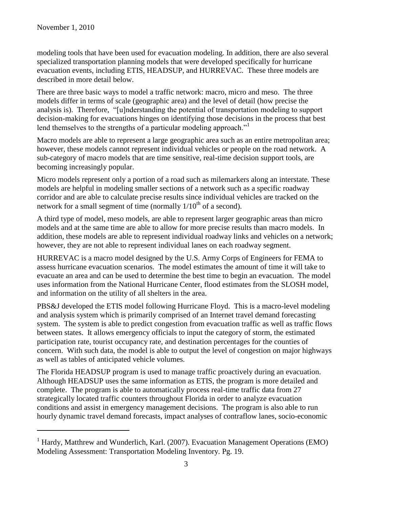$\overline{a}$ 

modeling tools that have been used for evacuation modeling. In addition, there are also several specialized transportation planning models that were developed specifically for hurricane evacuation events, including ETIS, HEADSUP, and HURREVAC. These three models are described in more detail below.

There are three basic ways to model a traffic network: macro, micro and meso. The three models differ in terms of scale (geographic area) and the level of detail (how precise the analysis is). Therefore, "[u]nderstanding the potential of transportation modeling to support decision-making for evacuations hinges on identifying those decisions in the process that best lend themselves to the strengths of a particular modeling approach."

Macro models are able to represent a large geographic area such as an entire metropolitan area; however, these models cannot represent individual vehicles or people on the road network. A sub-category of macro models that are time sensitive, real-time decision support tools, are becoming increasingly popular.

Micro models represent only a portion of a road such as milemarkers along an interstate. These models are helpful in modeling smaller sections of a network such as a specific roadway corridor and are able to calculate precise results since individual vehicles are tracked on the network for a small segment of time (normally  $1/10<sup>th</sup>$  of a second).

A third type of model, meso models, are able to represent larger geographic areas than micro models and at the same time are able to allow for more precise results than macro models. In addition, these models are able to represent individual roadway links and vehicles on a network; however, they are not able to represent individual lanes on each roadway segment.

HURREVAC is a macro model designed by the U.S. Army Corps of Engineers for FEMA to assess hurricane evacuation scenarios. The model estimates the amount of time it will take to evacuate an area and can be used to determine the best time to begin an evacuation. The model uses information from the National Hurricane Center, flood estimates from the SLOSH model, and information on the utility of all shelters in the area.

PBS&J developed the ETIS model following Hurricane Floyd. This is a macro-level modeling and analysis system which is primarily comprised of an Internet travel demand forecasting system. The system is able to predict congestion from evacuation traffic as well as traffic flows between states. It allows emergency officials to input the category of storm, the estimated participation rate, tourist occupancy rate, and destination percentages for the counties of concern. With such data, the model is able to output the level of congestion on major highways as well as tables of anticipated vehicle volumes.

The Florida HEADSUP program is used to manage traffic proactively during an evacuation. Although HEADSUP uses the same information as ETIS, the program is more detailed and complete. The program is able to automatically process real-time traffic data from 27 strategically located traffic counters throughout Florida in order to analyze evacuation conditions and assist in emergency management decisions. The program is also able to run hourly dynamic travel demand forecasts, impact analyses of contraflow lanes, socio-economic

 $<sup>1</sup>$  Hardy, Matthrew and Wunderlich, Karl. (2007). Evacuation Management Operations (EMO)</sup> Modeling Assessment: Transportation Modeling Inventory. Pg. 19.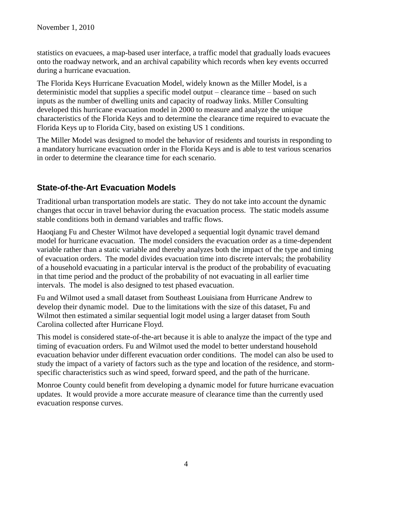statistics on evacuees, a map-based user interface, a traffic model that gradually loads evacuees onto the roadway network, and an archival capability which records when key events occurred during a hurricane evacuation.

The Florida Keys Hurricane Evacuation Model, widely known as the Miller Model, is a deterministic model that supplies a specific model output – clearance time – based on such inputs as the number of dwelling units and capacity of roadway links. Miller Consulting developed this hurricane evacuation model in 2000 to measure and analyze the unique characteristics of the Florida Keys and to determine the clearance time required to evacuate the Florida Keys up to Florida City, based on existing US 1 conditions.

The Miller Model was designed to model the behavior of residents and tourists in responding to a mandatory hurricane evacuation order in the Florida Keys and is able to test various scenarios in order to determine the clearance time for each scenario.

### **State-of-the-Art Evacuation Models**

Traditional urban transportation models are static. They do not take into account the dynamic changes that occur in travel behavior during the evacuation process. The static models assume stable conditions both in demand variables and traffic flows.

Haoqiang Fu and Chester Wilmot have developed a sequential logit dynamic travel demand model for hurricane evacuation. The model considers the evacuation order as a time-dependent variable rather than a static variable and thereby analyzes both the impact of the type and timing of evacuation orders. The model divides evacuation time into discrete intervals; the probability of a household evacuating in a particular interval is the product of the probability of evacuating in that time period and the product of the probability of not evacuating in all earlier time intervals. The model is also designed to test phased evacuation.

Fu and Wilmot used a small dataset from Southeast Louisiana from Hurricane Andrew to develop their dynamic model. Due to the limitations with the size of this dataset, Fu and Wilmot then estimated a similar sequential logit model using a larger dataset from South Carolina collected after Hurricane Floyd.

This model is considered state-of-the-art because it is able to analyze the impact of the type and timing of evacuation orders. Fu and Wilmot used the model to better understand household evacuation behavior under different evacuation order conditions. The model can also be used to study the impact of a variety of factors such as the type and location of the residence, and stormspecific characteristics such as wind speed, forward speed, and the path of the hurricane.

Monroe County could benefit from developing a dynamic model for future hurricane evacuation updates. It would provide a more accurate measure of clearance time than the currently used evacuation response curves.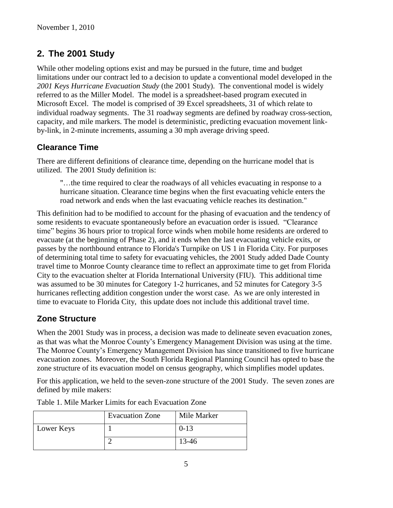# **2. The 2001 Study**

While other modeling options exist and may be pursued in the future, time and budget limitations under our contract led to a decision to update a conventional model developed in the *2001 Keys Hurricane Evacuation Study* (the 2001 Study). The conventional model is widely referred to as the Miller Model. The model is a spreadsheet-based program executed in Microsoft Excel. The model is comprised of 39 Excel spreadsheets, 31 of which relate to individual roadway segments. The 31 roadway segments are defined by roadway cross-section, capacity, and mile markers. The model is deterministic, predicting evacuation movement linkby-link, in 2-minute increments, assuming a 30 mph average driving speed.

# **Clearance Time**

There are different definitions of clearance time, depending on the hurricane model that is utilized. The 2001 Study definition is:

"…the time required to clear the roadways of all vehicles evacuating in response to a hurricane situation. Clearance time begins when the first evacuating vehicle enters the road network and ends when the last evacuating vehicle reaches its destination."

This definition had to be modified to account for the phasing of evacuation and the tendency of some residents to evacuate spontaneously before an evacuation order is issued. "Clearance time" begins 36 hours prior to tropical force winds when mobile home residents are ordered to evacuate (at the beginning of Phase 2), and it ends when the last evacuating vehicle exits, or passes by the northbound entrance to Florida's Turnpike on US 1 in Florida City. For purposes of determining total time to safety for evacuating vehicles, the 2001 Study added Dade County travel time to Monroe County clearance time to reflect an approximate time to get from Florida City to the evacuation shelter at Florida International University (FIU). This additional time was assumed to be 30 minutes for Category 1-2 hurricanes, and 52 minutes for Category 3-5 hurricanes reflecting addition congestion under the worst case. As we are only interested in time to evacuate to Florida City, this update does not include this additional travel time.

### **Zone Structure**

When the 2001 Study was in process, a decision was made to delineate seven evacuation zones, as that was what the Monroe County's Emergency Management Division was using at the time. The Monroe County's Emergency Management Division has since transitioned to five hurricane evacuation zones. Moreover, the South Florida Regional Planning Council has opted to base the zone structure of its evacuation model on census geography, which simplifies model updates.

For this application, we held to the seven-zone structure of the 2001 Study. The seven zones are defined by mile makers:

|            | <b>Evacuation Zone</b> | Mile Marker |
|------------|------------------------|-------------|
| Lower Keys |                        | $0-13$      |
|            |                        | 13-46       |

Table 1. Mile Marker Limits for each Evacuation Zone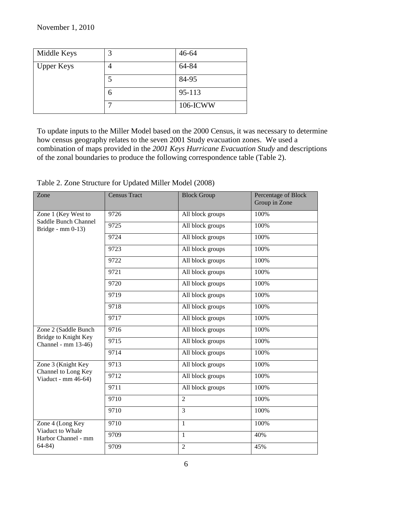| Middle Keys       | 3  | $46 - 64$ |
|-------------------|----|-----------|
| <b>Upper Keys</b> |    | 64-84     |
|                   | ر_ | 84-95     |
|                   | O  | 95-113    |
|                   |    | 106-ICWW  |

To update inputs to the Miller Model based on the 2000 Census, it was necessary to determine how census geography relates to the seven 2001 Study evacuation zones. We used a combination of maps provided in the *2001 Keys Hurricane Evacuation Study* and descriptions of the zonal boundaries to produce the following correspondence table (Table 2).

| Zone                                        | <b>Census Tract</b> | <b>Block Group</b> | Percentage of Block<br>Group in Zone |
|---------------------------------------------|---------------------|--------------------|--------------------------------------|
| Zone 1 (Key West to<br>Saddle Bunch Channel | 9726                | All block groups   | 100%                                 |
| Bridge - $mm 0-13$ )                        | 9725                | All block groups   | 100%                                 |
|                                             | $\overline{97}24$   | All block groups   | 100%                                 |
|                                             | 9723                | All block groups   | 100%                                 |
|                                             | 9722                | All block groups   | 100%                                 |
|                                             | 9721                | All block groups   | 100%                                 |
|                                             | 9720                | All block groups   | 100%                                 |
|                                             | 9719                | All block groups   | 100%                                 |
|                                             | 9718                | All block groups   | 100%                                 |
|                                             | 9717                | All block groups   | 100%                                 |
| Zone 2 (Saddle Bunch                        | 9716                | All block groups   | 100%                                 |
| Bridge to Knight Key<br>Channel - mm 13-46) | 9715                | All block groups   | 100%                                 |
|                                             | 9714                | All block groups   | 100%                                 |
| Zone 3 (Knight Key                          | 9713                | All block groups   | 100%                                 |
| Channel to Long Key<br>Viaduct - mm 46-64)  | 9712                | All block groups   | 100%                                 |
|                                             | 9711                | All block groups   | 100%                                 |
|                                             | 9710                | 2                  | 100%                                 |
|                                             | $\frac{1}{9710}$    | 3                  | 100%                                 |
| Zone 4 (Long Key                            | 9710                | $\mathbf{1}$       | 100%                                 |
| Viaduct to Whale<br>Harbor Channel - mm     | 9709                | $\mathbf{1}$       | 40%                                  |
| $64-84)$                                    | 9709                | $\overline{2}$     | 45%                                  |

Table 2. Zone Structure for Updated Miller Model (2008)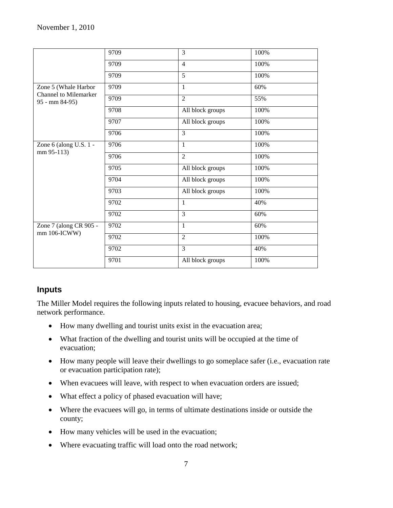|                                                | 9709 | 3                | 100% |
|------------------------------------------------|------|------------------|------|
|                                                | 9709 | $\overline{4}$   | 100% |
|                                                | 9709 | $\overline{5}$   | 100% |
| Zone 5 (Whale Harbor                           | 9709 | 1                | 60%  |
| <b>Channel to Milemarker</b><br>95 - mm 84-95) | 9709 | $\overline{2}$   | 55%  |
|                                                | 9708 | All block groups | 100% |
|                                                | 9707 | All block groups | 100% |
|                                                | 9706 | 3                | 100% |
| Zone 6 (along U.S. 1 -                         | 9706 | 1                | 100% |
| mm 95-113)                                     | 9706 | $\overline{2}$   | 100% |
|                                                | 9705 | All block groups | 100% |
|                                                | 9704 | All block groups | 100% |
|                                                | 9703 | All block groups | 100% |
|                                                | 9702 | 1                | 40%  |
|                                                | 9702 | 3                | 60%  |
| Zone 7 (along CR 905 -<br>mm 106-ICWW)         | 9702 | $\mathbf{1}$     | 60%  |
|                                                | 9702 | $\overline{2}$   | 100% |
|                                                | 9702 | $\overline{3}$   | 40%  |
|                                                | 9701 | All block groups | 100% |

### **Inputs**

The Miller Model requires the following inputs related to housing, evacuee behaviors, and road network performance.

- How many dwelling and tourist units exist in the evacuation area;
- What fraction of the dwelling and tourist units will be occupied at the time of evacuation;
- How many people will leave their dwellings to go someplace safer (i.e., evacuation rate or evacuation participation rate);
- When evacuees will leave, with respect to when evacuation orders are issued;
- What effect a policy of phased evacuation will have;
- Where the evacuees will go, in terms of ultimate destinations inside or outside the county;
- How many vehicles will be used in the evacuation;
- Where evacuating traffic will load onto the road network;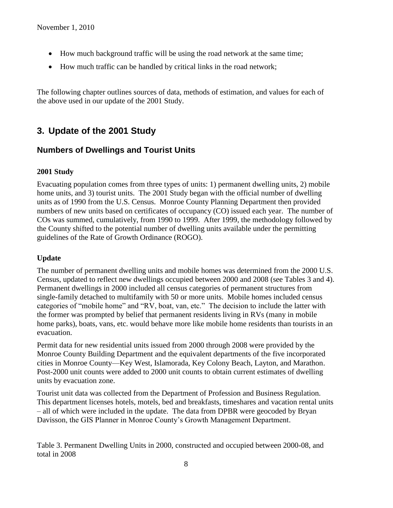- How much background traffic will be using the road network at the same time;
- How much traffic can be handled by critical links in the road network;

The following chapter outlines sources of data, methods of estimation, and values for each of the above used in our update of the 2001 Study.

# **3. Update of the 2001 Study**

### **Numbers of Dwellings and Tourist Units**

#### **2001 Study**

Evacuating population comes from three types of units: 1) permanent dwelling units, 2) mobile home units, and 3) tourist units. The 2001 Study began with the official number of dwelling units as of 1990 from the U.S. Census. Monroe County Planning Department then provided numbers of new units based on certificates of occupancy (CO) issued each year. The number of COs was summed, cumulatively, from 1990 to 1999. After 1999, the methodology followed by the County shifted to the potential number of dwelling units available under the permitting guidelines of the Rate of Growth Ordinance (ROGO).

#### **Update**

The number of permanent dwelling units and mobile homes was determined from the 2000 U.S. Census, updated to reflect new dwellings occupied between 2000 and 2008 (see Tables 3 and 4). Permanent dwellings in 2000 included all census categories of permanent structures from single-family detached to multifamily with 50 or more units. Mobile homes included census categories of "mobile home" and "RV, boat, van, etc." The decision to include the latter with the former was prompted by belief that permanent residents living in RVs (many in mobile home parks), boats, vans, etc. would behave more like mobile home residents than tourists in an evacuation.

Permit data for new residential units issued from 2000 through 2008 were provided by the Monroe County Building Department and the equivalent departments of the five incorporated cities in Monroe County—Key West, Islamorada, Key Colony Beach, Layton, and Marathon. Post-2000 unit counts were added to 2000 unit counts to obtain current estimates of dwelling units by evacuation zone.

Tourist unit data was collected from the Department of Profession and Business Regulation. This department licenses hotels, motels, bed and breakfasts, timeshares and vacation rental units – all of which were included in the update. The data from DPBR were geocoded by Bryan Davisson, the GIS Planner in Monroe County's Growth Management Department.

Table 3. Permanent Dwelling Units in 2000, constructed and occupied between 2000-08, and total in 2008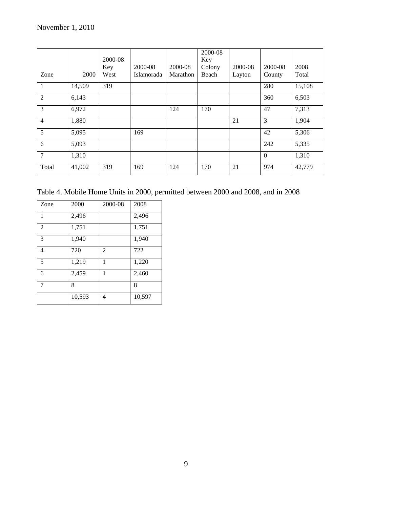|                |        | 2000-08<br>Key | 2000-08    | 2000-08  | 2000-08<br>Key<br>Colony | 2000-08 | 2000-08      | 2008   |
|----------------|--------|----------------|------------|----------|--------------------------|---------|--------------|--------|
| Zone           | 2000   | West           | Islamorada | Marathon | Beach                    | Layton  | County       | Total  |
| $\mathbf{1}$   | 14,509 | 319            |            |          |                          |         | 280          | 15,108 |
| 2              | 6,143  |                |            |          |                          |         | 360          | 6,503  |
| 3              | 6,972  |                |            | 124      | 170                      |         | 47           | 7,313  |
| $\overline{4}$ | 1,880  |                |            |          |                          | 21      | 3            | 1,904  |
| 5              | 5,095  |                | 169        |          |                          |         | 42           | 5,306  |
| 6              | 5,093  |                |            |          |                          |         | 242          | 5,335  |
| 7              | 1,310  |                |            |          |                          |         | $\mathbf{0}$ | 1,310  |
| Total          | 41,002 | 319            | 169        | 124      | 170                      | 21      | 974          | 42,779 |

Table 4. Mobile Home Units in 2000, permitted between 2000 and 2008, and in 2008

| Zone | 2000   | 2000-08 | 2008   |
|------|--------|---------|--------|
| 1    | 2,496  |         | 2,496  |
| 2    | 1,751  |         | 1,751  |
| 3    | 1,940  |         | 1,940  |
| 4    | 720    | 2       | 722    |
| 5    | 1,219  | 1       | 1,220  |
| 6    | 2,459  | 1       | 2,460  |
| 7    | 8      |         | 8      |
|      | 10,593 | 4       | 10,597 |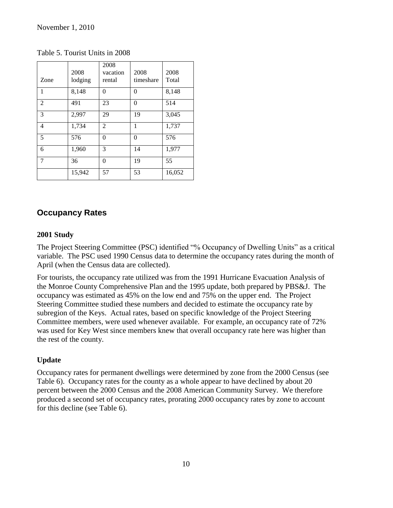|                | 2008    | 2008<br>vacation | 2008      | 2008   |
|----------------|---------|------------------|-----------|--------|
| Zone           | lodging | rental           | timeshare | Total  |
| 1              | 8,148   | 0                | 0         | 8,148  |
| $\mathfrak{D}$ | 491     | 23               | $\Omega$  | 514    |
| 3              | 2,997   | 29               | 19        | 3,045  |
| 4              | 1,734   | $\overline{c}$   | 1         | 1,737  |
| 5              | 576     | 0                | 0         | 576    |
| 6              | 1,960   | 3                | 14        | 1,977  |
| $\overline{7}$ | 36      | 0                | 19        | 55     |
|                | 15,942  | 57               | 53        | 16,052 |

Table 5. Tourist Units in 2008

### **Occupancy Rates**

#### **2001 Study**

The Project Steering Committee (PSC) identified "% Occupancy of Dwelling Units" as a critical variable. The PSC used 1990 Census data to determine the occupancy rates during the month of April (when the Census data are collected).

For tourists, the occupancy rate utilized was from the 1991 Hurricane Evacuation Analysis of the Monroe County Comprehensive Plan and the 1995 update, both prepared by PBS&J. The occupancy was estimated as 45% on the low end and 75% on the upper end. The Project Steering Committee studied these numbers and decided to estimate the occupancy rate by subregion of the Keys. Actual rates, based on specific knowledge of the Project Steering Committee members, were used whenever available. For example, an occupancy rate of 72% was used for Key West since members knew that overall occupancy rate here was higher than the rest of the county.

### **Update**

Occupancy rates for permanent dwellings were determined by zone from the 2000 Census (see Table 6). Occupancy rates for the county as a whole appear to have declined by about 20 percent between the 2000 Census and the 2008 American Community Survey. We therefore produced a second set of occupancy rates, prorating 2000 occupancy rates by zone to account for this decline (see Table 6).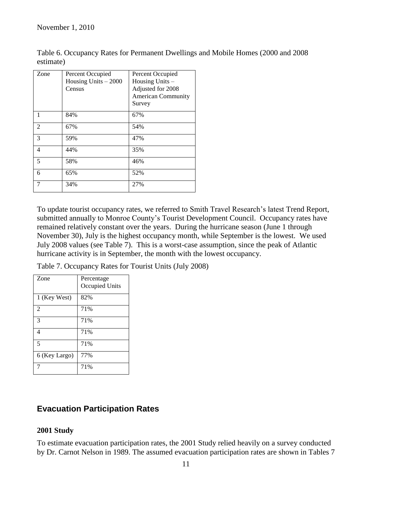| Zone | Percent Occupied<br>Housing Units $-2000$<br>Census | Percent Occupied<br>Housing Units -<br>Adjusted for 2008<br><b>American Community</b><br>Survey |
|------|-----------------------------------------------------|-------------------------------------------------------------------------------------------------|
| 1    | 84%                                                 | 67%                                                                                             |
| 2    | 67%                                                 | 54%                                                                                             |
| 3    | 59%                                                 | 47%                                                                                             |
| 4    | 44%                                                 | 35%                                                                                             |
| 5    | 58%                                                 | 46%                                                                                             |
| 6    | 65%                                                 | 52%                                                                                             |
| 7    | 34%                                                 | 27%                                                                                             |

Table 6. Occupancy Rates for Permanent Dwellings and Mobile Homes (2000 and 2008 estimate)

To update tourist occupancy rates, we referred to Smith Travel Research's latest Trend Report, submitted annually to Monroe County's Tourist Development Council. Occupancy rates have remained relatively constant over the years. During the hurricane season (June 1 through November 30), July is the highest occupancy month, while September is the lowest. We used July 2008 values (see Table 7). This is a worst-case assumption, since the peak of Atlantic hurricane activity is in September, the month with the lowest occupancy.

Table 7. Occupancy Rates for Tourist Units (July 2008)

| Zone                     | Percentage<br>Occupied Units |
|--------------------------|------------------------------|
| 1 (Key West)             | 82%                          |
| $\mathfrak{D}$           | 71%                          |
| 3                        | 71%                          |
| 4                        | 71%                          |
| $\overline{\phantom{0}}$ | 71%                          |
| 6 (Key Largo)            | 77%                          |
|                          | 71%                          |

### **Evacuation Participation Rates**

### **2001 Study**

To estimate evacuation participation rates, the 2001 Study relied heavily on a survey conducted by Dr. Carnot Nelson in 1989. The assumed evacuation participation rates are shown in Tables 7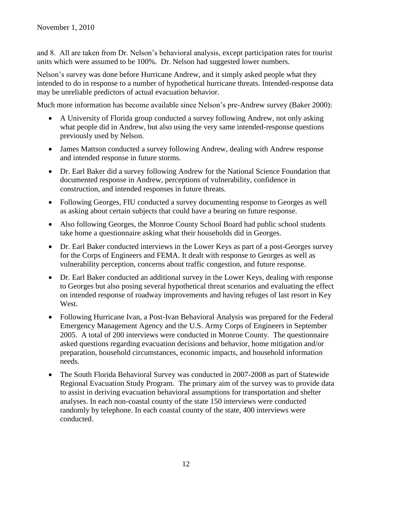and 8. All are taken from Dr. Nelson's behavioral analysis, except participation rates for tourist units which were assumed to be 100%. Dr. Nelson had suggested lower numbers.

Nelson's survey was done before Hurricane Andrew, and it simply asked people what they intended to do in response to a number of hypothetical hurricane threats. Intended-response data may be unreliable predictors of actual evacuation behavior.

Much more information has become available since Nelson's pre-Andrew survey (Baker 2000):

- A University of Florida group conducted a survey following Andrew, not only asking what people did in Andrew, but also using the very same intended-response questions previously used by Nelson.
- James Mattson conducted a survey following Andrew, dealing with Andrew response and intended response in future storms.
- Dr. Earl Baker did a survey following Andrew for the National Science Foundation that documented response in Andrew, perceptions of vulnerability, confidence in construction, and intended responses in future threats.
- Following Georges, FIU conducted a survey documenting response to Georges as well as asking about certain subjects that could have a bearing on future response.
- Also following Georges, the Monroe County School Board had public school students take home a questionnaire asking what their households did in Georges.
- Dr. Earl Baker conducted interviews in the Lower Keys as part of a post-Georges survey for the Corps of Engineers and FEMA. It dealt with response to Georges as well as vulnerability perception, concerns about traffic congestion, and future response.
- Dr. Earl Baker conducted an additional survey in the Lower Keys, dealing with response to Georges but also posing several hypothetical threat scenarios and evaluating the effect on intended response of roadway improvements and having refuges of last resort in Key West.
- Following Hurricane Ivan, a Post-Ivan Behavioral Analysis was prepared for the Federal Emergency Management Agency and the U.S. Army Corps of Engineers in September 2005. A total of 200 interviews were conducted in Monroe County. The questionnaire asked questions regarding evacuation decisions and behavior, home mitigation and/or preparation, household circumstances, economic impacts, and household information needs.
- The South Florida Behavioral Survey was conducted in 2007-2008 as part of Statewide Regional Evacuation Study Program. The primary aim of the survey was to provide data to assist in deriving evacuation behavioral assumptions for transportation and shelter analyses. In each non-coastal county of the state 150 interviews were conducted randomly by telephone. In each coastal county of the state, 400 interviews were conducted.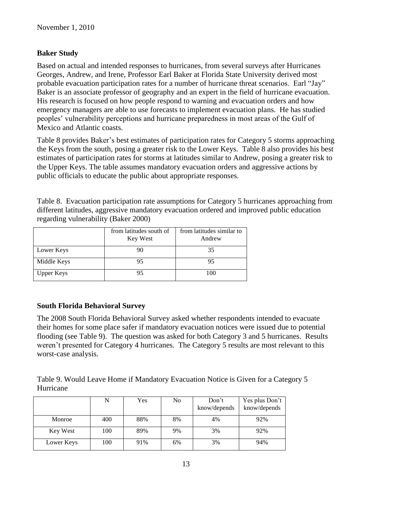#### **Baker Study**

Based on actual and intended responses to hurricanes, from several surveys after Hurricanes Georges, Andrew, and Irene, Professor Earl Baker at Florida State University derived most probable evacuation participation rates for a number of hurricane threat scenarios. Earl "Jay" Baker is an associate professor of geography and an expert in the field of hurricane evacuation. His research is focused on how people respond to warning and evacuation orders and how emergency managers are able to use forecasts to implement evacuation plans. He has studied peoples' vulnerability perceptions and hurricane preparedness in most areas of the Gulf of Mexico and Atlantic coasts.

Table 8 provides Baker's best estimates of participation rates for Category 5 storms approaching the Keys from the south, posing a greater risk to the Lower Keys. Table 8 also provides his best estimates of participation rates for storms at latitudes similar to Andrew, posing a greater risk to the Upper Keys. The table assumes mandatory evacuation orders and aggressive actions by public officials to educate the public about appropriate responses.

Table 8. Evacuation participation rate assumptions for Category 5 hurricanes approaching from different latitudes, aggressive mandatory evacuation ordered and improved public education regarding vulnerability (Baker 2000)

|                   | from latitudes south of<br>Key West | from latitudes similar to<br>Andrew |
|-------------------|-------------------------------------|-------------------------------------|
| Lower Keys        |                                     | 35                                  |
| Middle Keys       | 95                                  | 95                                  |
| <b>Upper Keys</b> |                                     | 100                                 |

#### **South Florida Behavioral Survey**

The 2008 South Florida Behavioral Survey asked whether respondents intended to evacuate their homes for some place safer if mandatory evacuation notices were issued due to potential flooding (see Table 9). The question was asked for both Category 3 and 5 hurricanes. Results weren't presented for Category 4 hurricanes. The Category 5 results are most relevant to this worst-case analysis.

Table 9. Would Leave Home if Mandatory Evacuation Notice is Given for a Category 5 Hurricane

|            |     | Yes | N <sub>0</sub> | Don't<br>know/depends | Yes plus Don't<br>know/depends |
|------------|-----|-----|----------------|-----------------------|--------------------------------|
| Monroe     | 400 | 88% | 8%             | 4%                    | 92%                            |
| Key West   | 100 | 89% | 9%             | 3%                    | 92%                            |
| Lower Keys | 100 | 91% | 6%             | 3%                    | 94%                            |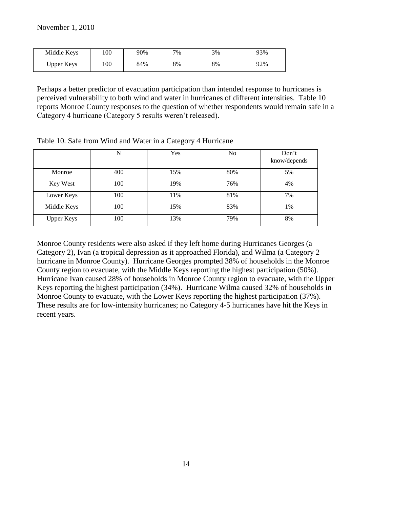| Middle Keys | 100 | 90% | 7% | 3% | 93% |
|-------------|-----|-----|----|----|-----|
| Upper Keys  | 100 | 84% | 8% | 8% | 92% |

Perhaps a better predictor of evacuation participation than intended response to hurricanes is perceived vulnerability to both wind and water in hurricanes of different intensities. Table 10 reports Monroe County responses to the question of whether respondents would remain safe in a Category 4 hurricane (Category 5 results weren't released).

|                   | N   | Yes | No  | Don't<br>know/depends |
|-------------------|-----|-----|-----|-----------------------|
| Monroe            | 400 | 15% | 80% | 5%                    |
| Key West          | 100 | 19% | 76% | 4%                    |
| Lower Keys        | 100 | 11% | 81% | 7%                    |
| Middle Keys       | 100 | 15% | 83% | 1%                    |
| <b>Upper Keys</b> | 100 | 13% | 79% | 8%                    |

Table 10. Safe from Wind and Water in a Category 4 Hurricane

Monroe County residents were also asked if they left home during Hurricanes Georges (a Category 2), Ivan (a tropical depression as it approached Florida), and Wilma (a Category 2 hurricane in Monroe County). Hurricane Georges prompted 38% of households in the Monroe County region to evacuate, with the Middle Keys reporting the highest participation (50%). Hurricane Ivan caused 28% of households in Monroe County region to evacuate, with the Upper Keys reporting the highest participation (34%). Hurricane Wilma caused 32% of households in Monroe County to evacuate, with the Lower Keys reporting the highest participation (37%). These results are for low-intensity hurricanes; no Category 4-5 hurricanes have hit the Keys in recent years.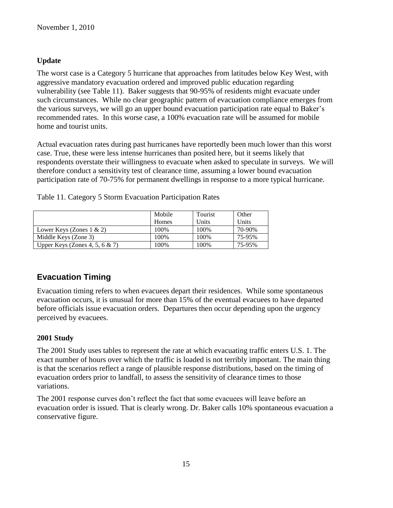### **Update**

The worst case is a Category 5 hurricane that approaches from latitudes below Key West, with aggressive mandatory evacuation ordered and improved public education regarding vulnerability (see Table 11). Baker suggests that 90-95% of residents might evacuate under such circumstances. While no clear geographic pattern of evacuation compliance emerges from the various surveys, we will go an upper bound evacuation participation rate equal to Baker's recommended rates. In this worse case, a 100% evacuation rate will be assumed for mobile home and tourist units.

Actual evacuation rates during past hurricanes have reportedly been much lower than this worst case. True, these were less intense hurricanes than posited here, but it seems likely that respondents overstate their willingness to evacuate when asked to speculate in surveys. We will therefore conduct a sensitivity test of clearance time, assuming a lower bound evacuation participation rate of 70-75% for permanent dwellings in response to a more typical hurricane.

|                                   | Mobile | Tourist |        |
|-----------------------------------|--------|---------|--------|
|                                   |        |         | Other  |
|                                   | Homes  | Units   | Units  |
| Lower Keys (Zones $1 \& 2$ )      | 100\%  | 100%    | 70-90% |
| Middle Keys (Zone 3)              | 100%   | 100%    | 75-95% |
| Upper Keys (Zones 4, 5, 6 $\&$ 7) | 100%   | 100\%   | 75-95% |

Table 11. Category 5 Storm Evacuation Participation Rates

# **Evacuation Timing**

Evacuation timing refers to when evacuees depart their residences. While some spontaneous evacuation occurs, it is unusual for more than 15% of the eventual evacuees to have departed before officials issue evacuation orders. Departures then occur depending upon the urgency perceived by evacuees.

### **2001 Study**

The 2001 Study uses tables to represent the rate at which evacuating traffic enters U.S. 1. The exact number of hours over which the traffic is loaded is not terribly important. The main thing is that the scenarios reflect a range of plausible response distributions, based on the timing of evacuation orders prior to landfall, to assess the sensitivity of clearance times to those variations.

The 2001 response curves don't reflect the fact that some evacuees will leave before an evacuation order is issued. That is clearly wrong. Dr. Baker calls 10% spontaneous evacuation a conservative figure.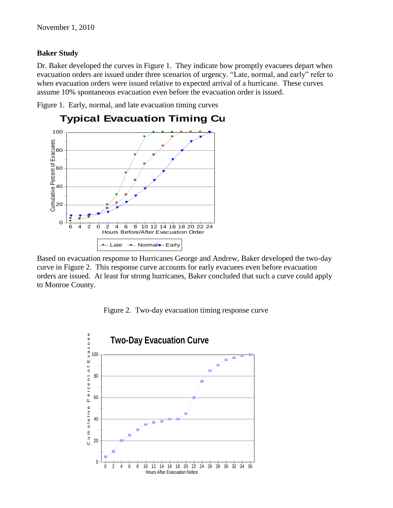#### **Baker Study**

Dr. Baker developed the curves in Figure 1. They indicate how promptly evacuees depart when evacuation orders are issued under three scenarios of urgency. "Late, normal, and early" refer to when evacuation orders were issued relative to expected arrival of a hurricane. These curves assume 10% spontaneous evacuation even before the evacuation order is issued.

Figure 1. Early, normal, and late evacuation timing curves



Based on evacuation response to Hurricanes George and Andrew, Baker developed the two-day curve in Figure 2. This response curve accounts for early evacuees even before evacuation orders are issued. At least for strong hurricanes, Baker concluded that such a curve could apply to Monroe County.



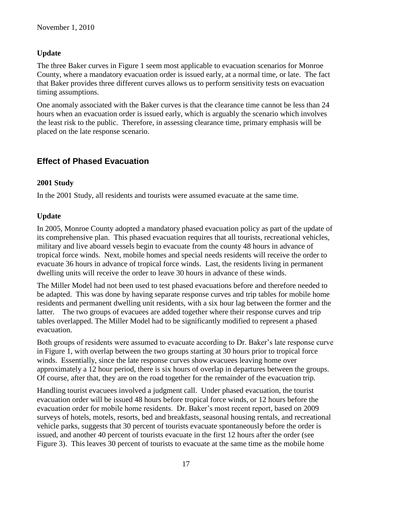### **Update**

The three Baker curves in Figure 1 seem most applicable to evacuation scenarios for Monroe County, where a mandatory evacuation order is issued early, at a normal time, or late. The fact that Baker provides three different curves allows us to perform sensitivity tests on evacuation timing assumptions.

One anomaly associated with the Baker curves is that the clearance time cannot be less than 24 hours when an evacuation order is issued early, which is arguably the scenario which involves the least risk to the public. Therefore, in assessing clearance time, primary emphasis will be placed on the late response scenario.

# **Effect of Phased Evacuation**

### **2001 Study**

In the 2001 Study, all residents and tourists were assumed evacuate at the same time.

### **Update**

In 2005, Monroe County adopted a mandatory phased evacuation policy as part of the update of its comprehensive plan. This phased evacuation requires that all tourists, recreational vehicles, military and live aboard vessels begin to evacuate from the county 48 hours in advance of tropical force winds. Next, mobile homes and special needs residents will receive the order to evacuate 36 hours in advance of tropical force winds. Last, the residents living in permanent dwelling units will receive the order to leave 30 hours in advance of these winds.

The Miller Model had not been used to test phased evacuations before and therefore needed to be adapted. This was done by having separate response curves and trip tables for mobile home residents and permanent dwelling unit residents, with a six hour lag between the former and the latter. The two groups of evacuees are added together where their response curves and trip tables overlapped. The Miller Model had to be significantly modified to represent a phased evacuation.

Both groups of residents were assumed to evacuate according to Dr. Baker's late response curve in Figure 1, with overlap between the two groups starting at 30 hours prior to tropical force winds. Essentially, since the late response curves show evacuees leaving home over approximately a 12 hour period, there is six hours of overlap in departures between the groups. Of course, after that, they are on the road together for the remainder of the evacuation trip.

Handling tourist evacuees involved a judgment call. Under phased evacuation, the tourist evacuation order will be issued 48 hours before tropical force winds, or 12 hours before the evacuation order for mobile home residents. Dr. Baker's most recent report, based on 2009 surveys of hotels, motels, resorts, bed and breakfasts, seasonal housing rentals, and recreational vehicle parks, suggests that 30 percent of tourists evacuate spontaneously before the order is issued, and another 40 percent of tourists evacuate in the first 12 hours after the order (see Figure 3). This leaves 30 percent of tourists to evacuate at the same time as the mobile home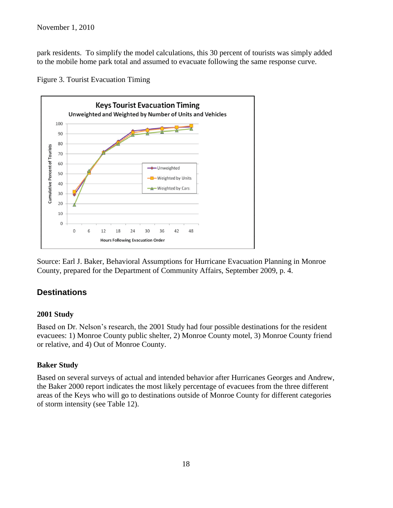park residents. To simplify the model calculations, this 30 percent of tourists was simply added to the mobile home park total and assumed to evacuate following the same response curve.



Figure 3. Tourist Evacuation Timing

Source: Earl J. Baker, Behavioral Assumptions for Hurricane Evacuation Planning in Monroe County, prepared for the Department of Community Affairs, September 2009, p. 4.

# **Destinations**

#### **2001 Study**

Based on Dr. Nelson's research, the 2001 Study had four possible destinations for the resident evacuees: 1) Monroe County public shelter, 2) Monroe County motel, 3) Monroe County friend or relative, and 4) Out of Monroe County.

#### **Baker Study**

Based on several surveys of actual and intended behavior after Hurricanes Georges and Andrew, the Baker 2000 report indicates the most likely percentage of evacuees from the three different areas of the Keys who will go to destinations outside of Monroe County for different categories of storm intensity (see Table 12).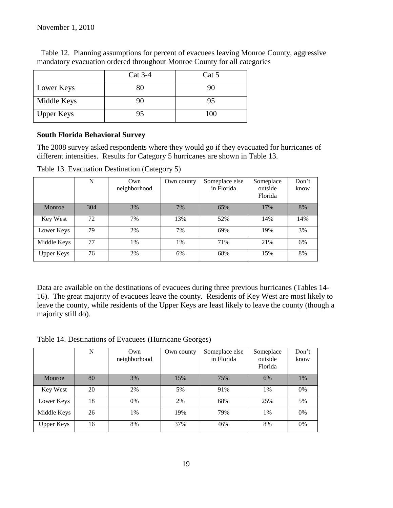|                   | $Cat 3-4$ | Cat 5 |
|-------------------|-----------|-------|
| Lower Keys        | 80        | 90    |
| Middle Keys       | 90        | 95    |
| <b>Upper Keys</b> | 95        | 100   |

 Table 12. Planning assumptions for percent of evacuees leaving Monroe County, aggressive mandatory evacuation ordered throughout Monroe County for all categories

#### **South Florida Behavioral Survey**

The 2008 survey asked respondents where they would go if they evacuated for hurricanes of different intensities. Results for Category 5 hurricanes are shown in Table 13.

|                   | N   | Own<br>neighborhood | Own county | Someplace else<br>in Florida | Someplace<br>outside<br>Florida | Don't<br>know |
|-------------------|-----|---------------------|------------|------------------------------|---------------------------------|---------------|
| Monroe            | 304 | 3%                  | 7%         | 65%                          | 17%                             | 8%            |
| Key West          | 72  | 7%                  | 13%        | 52%                          | 14%                             | 14%           |
| Lower Keys        | 79  | 2%                  | 7%         | 69%                          | 19%                             | 3%            |
| Middle Keys       | 77  | 1%                  | $1\%$      | 71%                          | 21%                             | 6%            |
| <b>Upper Keys</b> | 76  | 2%                  | 6%         | 68%                          | 15%                             | 8%            |

Table 13. Evacuation Destination (Category 5)

Data are available on the destinations of evacuees during three previous hurricanes (Tables 14- 16). The great majority of evacuees leave the county. Residents of Key West are most likely to leave the county, while residents of the Upper Keys are least likely to leave the county (though a majority still do).

Table 14. Destinations of Evacuees (Hurricane Georges)

|                   | N  | Own<br>neighborhood | Own county | Someplace else<br>in Florida | Someplace<br>outside<br>Florida | Don't<br>know |
|-------------------|----|---------------------|------------|------------------------------|---------------------------------|---------------|
| Monroe            | 80 | 3%                  | 15%        | 75%                          | 6%                              | $1\%$         |
| Key West          | 20 | 2%                  | 5%         | 91%                          | 1%                              | 0%            |
| Lower Keys        | 18 | 0%                  | 2%         | 68%                          | 25%                             | 5%            |
| Middle Keys       | 26 | 1%                  | 19%        | 79%                          | 1%                              | 0%            |
| <b>Upper Keys</b> | 16 | 8%                  | 37%        | 46%                          | 8%                              | 0%            |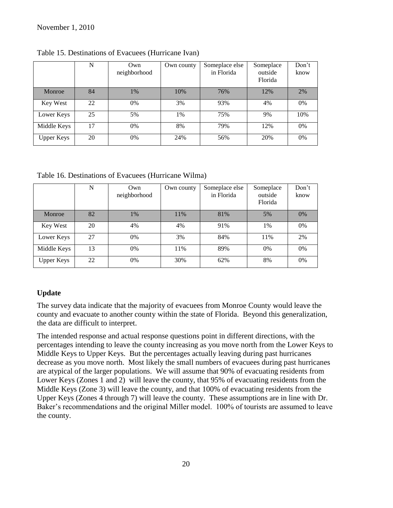|                   | N  | Own<br>neighborhood | Own county | Someplace else<br>in Florida | Someplace<br>outside<br>Florida | Don't<br>know |
|-------------------|----|---------------------|------------|------------------------------|---------------------------------|---------------|
| Monroe            | 84 | $1\%$               | 10%        | 76%                          | 12%                             | 2%            |
| Key West          | 22 | 0%                  | 3%         | 93%                          | 4%                              | 0%            |
| Lower Keys        | 25 | 5%                  | 1%         | 75%                          | 9%                              | 10%           |
| Middle Keys       | 17 | 0%                  | 8%         | 79%                          | 12%                             | $0\%$         |
| <b>Upper Keys</b> | 20 | 0%                  | 24%        | 56%                          | 20%                             | 0%            |

Table 15. Destinations of Evacuees (Hurricane Ivan)

Table 16. Destinations of Evacuees (Hurricane Wilma)

|                   | N  | Own<br>neighborhood | Own county | Someplace else<br>in Florida | Someplace<br>outside<br>Florida | Don't<br>know |
|-------------------|----|---------------------|------------|------------------------------|---------------------------------|---------------|
| Monroe            | 82 | 1%                  | 11%        | 81%                          | 5%                              | $0\%$         |
| Key West          | 20 | 4%                  | 4%         | 91%                          | 1%                              | 0%            |
| Lower Keys        | 27 | $0\%$               | 3%         | 84%                          | 11%                             | 2%            |
| Middle Keys       | 13 | 0%                  | 11%        | 89%                          | 0%                              | 0%            |
| <b>Upper Keys</b> | 22 | 0%                  | 30%        | 62%                          | 8%                              | 0%            |

### **Update**

The survey data indicate that the majority of evacuees from Monroe County would leave the county and evacuate to another county within the state of Florida. Beyond this generalization, the data are difficult to interpret.

The intended response and actual response questions point in different directions, with the percentages intending to leave the county increasing as you move north from the Lower Keys to Middle Keys to Upper Keys. But the percentages actually leaving during past hurricanes decrease as you move north. Most likely the small numbers of evacuees during past hurricanes are atypical of the larger populations. We will assume that 90% of evacuating residents from Lower Keys (Zones 1 and 2) will leave the county, that 95% of evacuating residents from the Middle Keys (Zone 3) will leave the county, and that 100% of evacuating residents from the Upper Keys (Zones 4 through 7) will leave the county. These assumptions are in line with Dr. Baker's recommendations and the original Miller model. 100% of tourists are assumed to leave the county.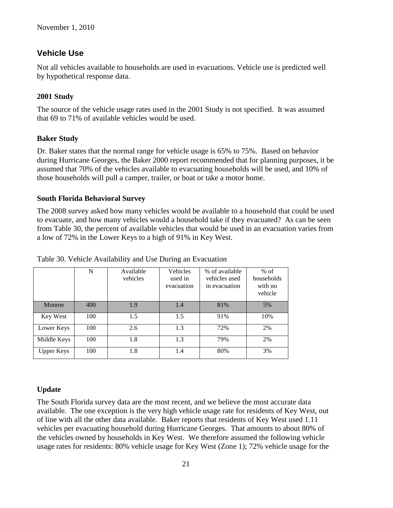### **Vehicle Use**

Not all vehicles available to households are used in evacuations. Vehicle use is predicted well by hypothetical response data.

### **2001 Study**

The source of the vehicle usage rates used in the 2001 Study is not specified. It was assumed that 69 to 71% of available vehicles would be used.

### **Baker Study**

Dr. Baker states that the normal range for vehicle usage is 65% to 75%. Based on behavior during Hurricane Georges, the Baker 2000 report recommended that for planning purposes, it be assumed that 70% of the vehicles available to evacuating households will be used, and 10% of those households will pull a camper, trailer, or boat or take a motor home.

### **South Florida Behavioral Survey**

The 2008 survey asked how many vehicles would be available to a household that could be used to evacuate, and how many vehicles would a household take if they evacuated? As can be seen from Table 30, the percent of available vehicles that would be used in an evacuation varies from a low of 72% in the Lower Keys to a high of 91% in Key West.

|                   | N   | Available<br>vehicles | Vehicles<br>used in<br>evacuation | % of available<br>vehicles used<br>in evacuation | $%$ of<br>households<br>with no<br>vehicle |
|-------------------|-----|-----------------------|-----------------------------------|--------------------------------------------------|--------------------------------------------|
| Monroe            | 400 | 1.9                   | 1.4                               | 81%                                              | 5%                                         |
| Key West          | 100 | 1.5                   | 1.5                               | 91%                                              | 10%                                        |
| Lower Keys        | 100 | 2.6                   | 1.3                               | 72%                                              | 2%                                         |
| Middle Keys       | 100 | 1.8                   | 1.3                               | 79%                                              | 2%                                         |
| <b>Upper Keys</b> | 100 | 1.8                   | 1.4                               | 80%                                              | 3%                                         |

### Table 30. Vehicle Availability and Use During an Evacuation

### **Update**

The South Florida survey data are the most recent, and we believe the most accurate data available. The one exception is the very high vehicle usage rate for residents of Key West, out of line with all the other data available. Baker reports that residents of Key West used 1.11 vehicles per evacuating household during Hurricane Georges. That amounts to about 80% of the vehicles owned by households in Key West. We therefore assumed the following vehicle usage rates for residents: 80% vehicle usage for Key West (Zone 1); 72% vehicle usage for the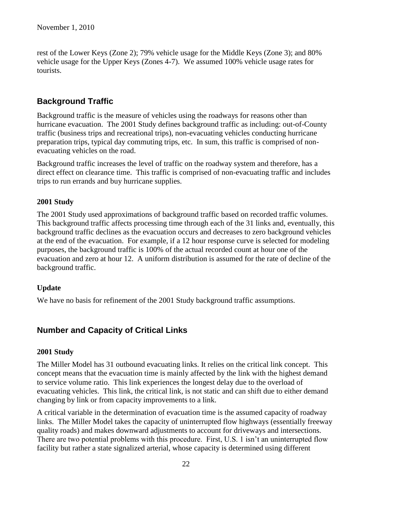rest of the Lower Keys (Zone 2); 79% vehicle usage for the Middle Keys (Zone 3); and 80% vehicle usage for the Upper Keys (Zones 4-7). We assumed 100% vehicle usage rates for tourists.

# **Background Traffic**

Background traffic is the measure of vehicles using the roadways for reasons other than hurricane evacuation. The 2001 Study defines background traffic as including: out-of-County traffic (business trips and recreational trips), non-evacuating vehicles conducting hurricane preparation trips, typical day commuting trips, etc. In sum, this traffic is comprised of nonevacuating vehicles on the road.

Background traffic increases the level of traffic on the roadway system and therefore, has a direct effect on clearance time. This traffic is comprised of non-evacuating traffic and includes trips to run errands and buy hurricane supplies.

### **2001 Study**

The 2001 Study used approximations of background traffic based on recorded traffic volumes. This background traffic affects processing time through each of the 31 links and, eventually, this background traffic declines as the evacuation occurs and decreases to zero background vehicles at the end of the evacuation. For example, if a 12 hour response curve is selected for modeling purposes, the background traffic is 100% of the actual recorded count at hour one of the evacuation and zero at hour 12. A uniform distribution is assumed for the rate of decline of the background traffic.

### **Update**

We have no basis for refinement of the 2001 Study background traffic assumptions.

### **Number and Capacity of Critical Links**

#### **2001 Study**

The Miller Model has 31 outbound evacuating links. It relies on the critical link concept. This concept means that the evacuation time is mainly affected by the link with the highest demand to service volume ratio. This link experiences the longest delay due to the overload of evacuating vehicles. This link, the critical link, is not static and can shift due to either demand changing by link or from capacity improvements to a link.

A critical variable in the determination of evacuation time is the assumed capacity of roadway links. The Miller Model takes the capacity of uninterrupted flow highways (essentially freeway quality roads) and makes downward adjustments to account for driveways and intersections. There are two potential problems with this procedure. First, U.S. 1 isn't an uninterrupted flow facility but rather a state signalized arterial, whose capacity is determined using different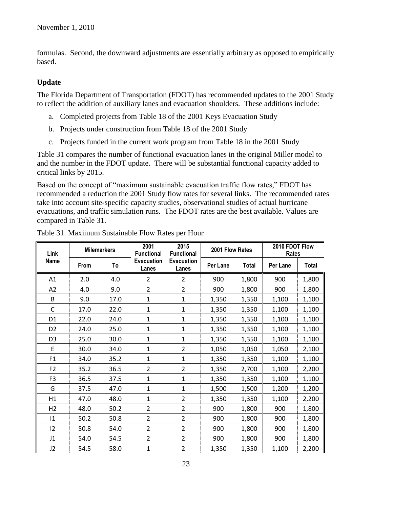formulas. Second, the downward adjustments are essentially arbitrary as opposed to empirically based.

### **Update**

The Florida Department of Transportation (FDOT) has recommended updates to the 2001 Study to reflect the addition of auxiliary lanes and evacuation shoulders. These additions include:

- a. Completed projects from Table 18 of the 2001 Keys Evacuation Study
- b. Projects under construction from Table 18 of the 2001 Study
- c. Projects funded in the current work program from Table 18 in the 2001 Study

Table 31 compares the number of functional evacuation lanes in the original Miller model to and the number in the FDOT update. There will be substantial functional capacity added to critical links by 2015.

Based on the concept of "maximum sustainable evacuation traffic flow rates," FDOT has recommended a reduction the 2001 Study flow rates for several links. The recommended rates take into account site-specific capacity studies, observational studies of actual hurricane evacuations, and traffic simulation runs. The FDOT rates are the best available. Values are compared in Table 31.

| Link           | <b>Milemarkers</b> |      | 2001<br><b>Functional</b>  | 2015<br><b>Functional</b>  |          | 2001 Flow Rates |          | 2010 FDOT Flow<br>Rates |  |
|----------------|--------------------|------|----------------------------|----------------------------|----------|-----------------|----------|-------------------------|--|
| <b>Name</b>    | From               | To   | <b>Evacuation</b><br>Lanes | <b>Evacuation</b><br>Lanes | Per Lane | <b>Total</b>    | Per Lane | <b>Total</b>            |  |
| A1             | 2.0                | 4.0  | $\overline{2}$             | $\overline{2}$             | 900      | 1,800           | 900      | 1,800                   |  |
| A2             | 4.0                | 9.0  | $\overline{2}$             | $\overline{2}$             | 900      | 1,800           | 900      | 1,800                   |  |
| B              | 9.0                | 17.0 | $\mathbf{1}$               | $\mathbf{1}$               | 1,350    | 1,350           | 1,100    | 1,100                   |  |
| C              | 17.0               | 22.0 | 1                          | $\mathbf{1}$               | 1,350    | 1,350           | 1,100    | 1,100                   |  |
| D <sub>1</sub> | 22.0               | 24.0 | $\mathbf{1}$               | $\mathbf{1}$               | 1,350    | 1,350           | 1,100    | 1,100                   |  |
| D <sub>2</sub> | 24.0               | 25.0 | $\mathbf{1}$               | $\mathbf{1}$               | 1,350    | 1,350           | 1,100    | 1,100                   |  |
| D <sub>3</sub> | 25.0               | 30.0 | $\mathbf{1}$               | $\mathbf{1}$               | 1,350    | 1,350           | 1,100    | 1,100                   |  |
| E              | 30.0               | 34.0 | $\mathbf{1}$               | $\overline{2}$             | 1,050    | 1,050           | 1,050    | 2,100                   |  |
| F1             | 34.0               | 35.2 | $\mathbf{1}$               | 1                          | 1,350    | 1,350           | 1,100    | 1,100                   |  |
| F <sub>2</sub> | 35.2               | 36.5 | $\overline{2}$             | $\overline{2}$             | 1,350    | 2,700           | 1,100    | 2,200                   |  |
| F <sub>3</sub> | 36.5               | 37.5 | 1                          | 1                          | 1,350    | 1,350           | 1,100    | 1,100                   |  |
| G              | 37.5               | 47.0 | $\mathbf{1}$               | $\mathbf{1}$               | 1,500    | 1,500           | 1,200    | 1,200                   |  |
| H1             | 47.0               | 48.0 | 1                          | 2                          | 1,350    | 1,350           | 1,100    | 2,200                   |  |
| H <sub>2</sub> | 48.0               | 50.2 | $\overline{2}$             | 2                          | 900      | 1,800           | 900      | 1,800                   |  |
| $\mathsf{I}1$  | 50.2               | 50.8 | $\overline{2}$             | $\overline{2}$             | 900      | 1,800           | 900      | 1,800                   |  |
| 12             | 50.8               | 54.0 | $\overline{2}$             | $\overline{2}$             | 900      | 1,800           | 900      | 1,800                   |  |
| J1             | 54.0               | 54.5 | $\overline{2}$             | $\overline{2}$             | 900      | 1,800           | 900      | 1,800                   |  |
| J2             | 54.5               | 58.0 | 1                          | $\overline{2}$             | 1,350    | 1,350           | 1,100    | 2,200                   |  |

Table 31. Maximum Sustainable Flow Rates per Hour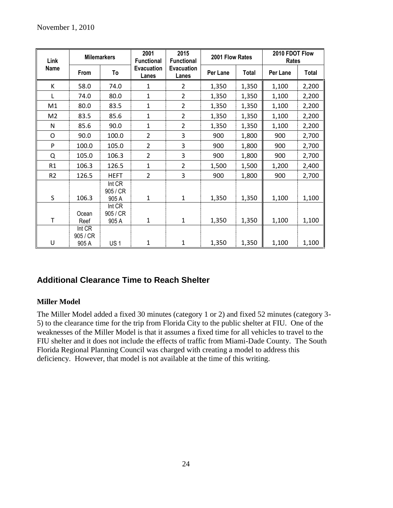| Link           |                             | <b>Milemarkers</b>          |                     | 2001<br>2015<br>2001 Flow Rates<br><b>Functional</b><br><b>Functional</b> |          |              | 2010 FDOT Flow<br>Rates |              |
|----------------|-----------------------------|-----------------------------|---------------------|---------------------------------------------------------------------------|----------|--------------|-------------------------|--------------|
| Name           | From                        | To                          | Evacuation<br>Lanes | <b>Evacuation</b><br>Lanes                                                | Per Lane | <b>Total</b> | Per Lane                | <b>Total</b> |
| К              | 58.0                        | 74.0                        | 1                   | 2                                                                         | 1,350    | 1,350        | 1,100                   | 2,200        |
| L              | 74.0                        | 80.0                        | $\mathbf{1}$        | $\overline{2}$                                                            | 1,350    | 1,350        | 1,100                   | 2,200        |
| M1             | 80.0                        | 83.5                        | $\mathbf{1}$        | $\overline{2}$                                                            | 1,350    | 1,350        | 1,100                   | 2,200        |
| M <sub>2</sub> | 83.5                        | 85.6                        | 1                   | $\overline{2}$                                                            | 1,350    | 1,350        | 1,100                   | 2,200        |
| $\mathsf{N}$   | 85.6                        | 90.0                        | $\mathbf{1}$        | $\overline{2}$                                                            | 1,350    | 1,350        | 1,100                   | 2,200        |
| O              | 90.0                        | 100.0                       | $\overline{2}$      | 3                                                                         | 900      | 1,800        | 900                     | 2,700        |
| P              | 100.0                       | 105.0                       | $\overline{2}$      | 3                                                                         | 900      | 1,800        | 900                     | 2,700        |
| Q              | 105.0                       | 106.3                       | $\overline{2}$      | 3                                                                         | 900      | 1,800        | 900                     | 2,700        |
| R1             | 106.3                       | 126.5                       | $\mathbf{1}$        | $\overline{2}$                                                            | 1,500    | 1,500        | 1,200                   | 2,400        |
| R <sub>2</sub> | 126.5                       | <b>HEFT</b>                 | $\overline{2}$      | 3                                                                         | 900      | 1,800        | 900                     | 2,700        |
| S              | 106.3                       | Int CR<br>905 / CR<br>905 A | 1                   | 1                                                                         | 1,350    | 1,350        | 1,100                   | 1,100        |
| T              | Ocean<br>Reef               | Int CR<br>905 / CR<br>905 A | $\mathbf{1}$        | $\mathbf{1}$                                                              | 1,350    | 1,350        | 1,100                   | 1,100        |
| U              | Int CR<br>905 / CR<br>905 A | US <sub>1</sub>             | 1                   | 1                                                                         | 1,350    | 1,350        | 1,100                   | 1,100        |

# **Additional Clearance Time to Reach Shelter**

### **Miller Model**

The Miller Model added a fixed 30 minutes (category 1 or 2) and fixed 52 minutes (category 3- 5) to the clearance time for the trip from Florida City to the public shelter at FIU. One of the weaknesses of the Miller Model is that it assumes a fixed time for all vehicles to travel to the FIU shelter and it does not include the effects of traffic from Miami-Dade County. The South Florida Regional Planning Council was charged with creating a model to address this deficiency. However, that model is not available at the time of this writing.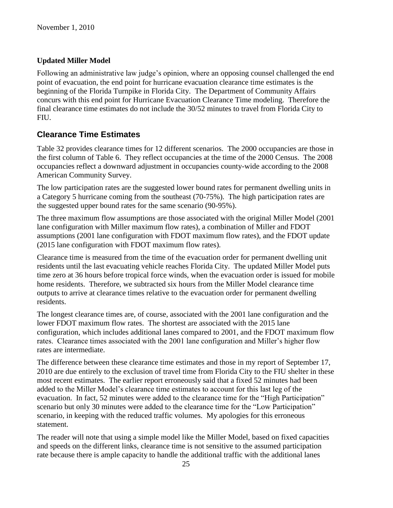### **Updated Miller Model**

Following an administrative law judge's opinion, where an opposing counsel challenged the end point of evacuation, the end point for hurricane evacuation clearance time estimates is the beginning of the Florida Turnpike in Florida City. The Department of Community Affairs concurs with this end point for Hurricane Evacuation Clearance Time modeling. Therefore the final clearance time estimates do not include the 30/52 minutes to travel from Florida City to FIU.

### **Clearance Time Estimates**

Table 32 provides clearance times for 12 different scenarios. The 2000 occupancies are those in the first column of Table 6. They reflect occupancies at the time of the 2000 Census. The 2008 occupancies reflect a downward adjustment in occupancies county-wide according to the 2008 American Community Survey.

The low participation rates are the suggested lower bound rates for permanent dwelling units in a Category 5 hurricane coming from the southeast (70-75%). The high participation rates are the suggested upper bound rates for the same scenario (90-95%).

The three maximum flow assumptions are those associated with the original Miller Model (2001 lane configuration with Miller maximum flow rates), a combination of Miller and FDOT assumptions (2001 lane configuration with FDOT maximum flow rates), and the FDOT update (2015 lane configuration with FDOT maximum flow rates).

Clearance time is measured from the time of the evacuation order for permanent dwelling unit residents until the last evacuating vehicle reaches Florida City. The updated Miller Model puts time zero at 36 hours before tropical force winds, when the evacuation order is issued for mobile home residents. Therefore, we subtracted six hours from the Miller Model clearance time outputs to arrive at clearance times relative to the evacuation order for permanent dwelling residents.

The longest clearance times are, of course, associated with the 2001 lane configuration and the lower FDOT maximum flow rates. The shortest are associated with the 2015 lane configuration, which includes additional lanes compared to 2001, and the FDOT maximum flow rates. Clearance times associated with the 2001 lane configuration and Miller's higher flow rates are intermediate.

The difference between these clearance time estimates and those in my report of September 17, 2010 are due entirely to the exclusion of travel time from Florida City to the FIU shelter in these most recent estimates. The earlier report erroneously said that a fixed 52 minutes had been added to the Miller Model's clearance time estimates to account for this last leg of the evacuation. In fact, 52 minutes were added to the clearance time for the "High Participation" scenario but only 30 minutes were added to the clearance time for the "Low Participation" scenario, in keeping with the reduced traffic volumes. My apologies for this erroneous statement.

The reader will note that using a simple model like the Miller Model, based on fixed capacities and speeds on the different links, clearance time is not sensitive to the assumed participation rate because there is ample capacity to handle the additional traffic with the additional lanes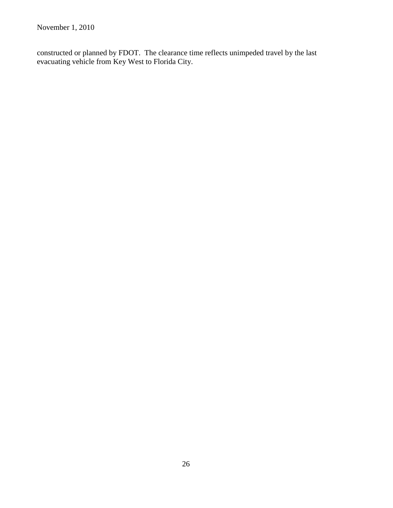constructed or planned by FDOT. The clearance time reflects unimpeded travel by the last evacuating vehicle from Key West to Florida City.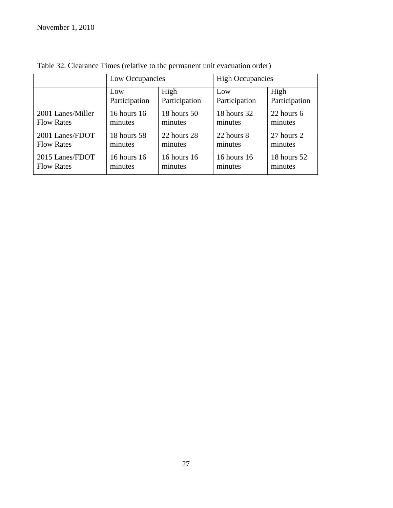|                   | Low Occupancies |               | <b>High Occupancies</b> |               |  |
|-------------------|-----------------|---------------|-------------------------|---------------|--|
|                   | Low             | High          | Low                     | High          |  |
|                   | Participation   | Participation | Participation           | Participation |  |
| 2001 Lanes/Miller | 16 hours 16     | 18 hours 50   | 18 hours 32             | 22 hours 6    |  |
| <b>Flow Rates</b> | minutes         | minutes       | minutes                 | minutes       |  |
| 2001 Lanes/FDOT   | 18 hours 58     | 22 hours 28   | 22 hours 8              | 27 hours 2    |  |
| <b>Flow Rates</b> | minutes         | minutes       | minutes                 | minutes       |  |
| 2015 Lanes/FDOT   | 16 hours 16     | 16 hours 16   | 16 hours 16             | 18 hours 52   |  |
| <b>Flow Rates</b> | minutes         | minutes       | minutes                 | minutes       |  |

Table 32. Clearance Times (relative to the permanent unit evacuation order)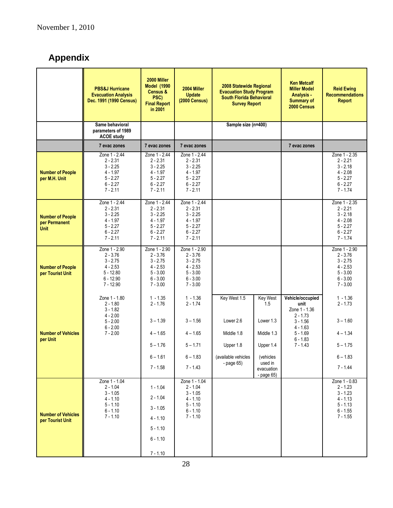# **Appendix**

|                                                         | <b>PBS&amp;J Hurricane</b><br><b>Evacuation Analysis</b><br>Dec. 1991 (1990 Census)                  | 2000 Miller<br><b>Model (1990)</b><br>Census &<br>PSC)<br><b>Final Report</b><br>in 2001          | 2004 Miller<br><b>Update</b><br><b>(2000 Census)</b>                                              | 2008 Statewide Regional<br><b>Evacuation Study Program</b><br><b>South Florida Behavioral</b><br><b>Survey Report</b> |                                                                                                             | <b>Ken Metcalf</b><br><b>Miller Model</b><br><b>Analysis</b><br><b>Summary of</b><br>2000 Census                              | <b>Reid Ewing</b><br><b>Recommendations</b><br><b>Report</b>                                      |
|---------------------------------------------------------|------------------------------------------------------------------------------------------------------|---------------------------------------------------------------------------------------------------|---------------------------------------------------------------------------------------------------|-----------------------------------------------------------------------------------------------------------------------|-------------------------------------------------------------------------------------------------------------|-------------------------------------------------------------------------------------------------------------------------------|---------------------------------------------------------------------------------------------------|
|                                                         | Same behavioral<br>parameters of 1989<br><b>ACOE study</b>                                           |                                                                                                   |                                                                                                   | Sample size (n=400)                                                                                                   |                                                                                                             |                                                                                                                               |                                                                                                   |
|                                                         | 7 evac zones                                                                                         | 7 evac zones                                                                                      | 7 evac zones                                                                                      |                                                                                                                       |                                                                                                             | 7 evac zones                                                                                                                  |                                                                                                   |
| <b>Number of People</b><br>per M.H. Unit                | Zone 1 - 2.44<br>$2 - 2.31$<br>$3 - 2.25$<br>$4 - 1.97$<br>$5 - 2.27$<br>$6 - 2.27$<br>$7 - 2.11$    | Zone 1 - 2.44<br>$2 - 2.31$<br>$3 - 2.25$<br>$4 - 1.97$<br>$5 - 2.27$<br>$6 - 2.27$<br>$7 - 2.11$ | Zone 1 - 2.44<br>$2 - 2.31$<br>$3 - 2.25$<br>$4 - 1.97$<br>$5 - 2.27$<br>$6 - 2.27$<br>$7 - 2.11$ |                                                                                                                       |                                                                                                             |                                                                                                                               | Zone 1 - 2.35<br>$2 - 2.21$<br>$3 - 2.18$<br>$4 - 2.08$<br>$5 - 2.27$<br>$6 - 2.27$<br>$7 - 1.74$ |
| <b>Number of People</b><br>per Permanent<br><b>Unit</b> | Zone 1 - 2.44<br>$2 - 2.31$<br>$3 - 2.25$<br>$4 - 1.97$<br>$5 - 2.27$<br>$6 - 2.27$<br>$7 - 2.11$    | Zone 1 - 2.44<br>$2 - 2.31$<br>$3 - 2.25$<br>$4 - 1.97$<br>$5 - 2.27$<br>$6 - 2.27$<br>$7 - 2.11$ | Zone 1 - 2.44<br>$2 - 2.31$<br>$3 - 2.25$<br>$4 - 1.97$<br>$5 - 2.27$<br>$6 - 2.27$<br>$7 - 2.11$ |                                                                                                                       |                                                                                                             |                                                                                                                               | Zone 1 - 2.35<br>$2 - 2.21$<br>$3 - 2.18$<br>$4 - 2.08$<br>$5 - 2.27$<br>$6 - 2.27$<br>$7 - 1.74$ |
| <b>Number of People</b><br>per Tourist Unit             | Zone 1 - 2.90<br>$2 - 3.76$<br>$3 - 2.75$<br>$4 - 2.53$<br>$5 - 12.80$<br>$6 - 12.90$<br>$7 - 12.90$ | Zone 1 - 2.90<br>$2 - 3.76$<br>$3 - 2.75$<br>$4 - 2.53$<br>$5 - 3.00$<br>$6 - 3.00$<br>$7 - 3.00$ | Zone 1 - 2.90<br>$2 - 3.76$<br>$3 - 2.75$<br>$4 - 2.53$<br>$5 - 3.00$<br>$6 - 3.00$<br>$7 - 3.00$ |                                                                                                                       |                                                                                                             |                                                                                                                               | Zone 1 - 2.90<br>$2 - 3.76$<br>$3 - 2.75$<br>$4 - 2.53$<br>$5 - 3.00$<br>$6 - 3.00$<br>$7 - 3.00$ |
| <b>Number of Vehicles</b><br>per Unit                   | Zone 1 - 1.80<br>$2 - 1.80$<br>$3 - 1.82$<br>$4 - 2.00$<br>$5 - 2.00$<br>$6 - 2.00$<br>$7 - 2.00$    | $1 - 1.35$<br>$2 - 1.76$<br>$3 - 1.39$<br>$4 - 1.65$<br>$5 - 1.76$<br>$6 - 1.61$<br>$7 - 1.58$    | $1 - 1.36$<br>$2 - 1.74$<br>$3 - 1.56$<br>$4 - 1.65$<br>$5 - 1.71$<br>$6 - 1.83$<br>$7 - 1.43$    | Key West 1.5<br>Lower 2.6<br>Middle 1.8<br>Upper 1.8<br>(available vehicles<br>- page $65)$                           | Key West<br>1.5<br>Lower 1.3<br>Middle 1.3<br>Upper 1.4<br>(vehicles<br>used in<br>evacuation<br>- page 65) | Vehicle/occupied<br>unit<br>Zone 1 - 1.36<br>$2 - 1.73$<br>$3 - 1.56$<br>$4 - 1.63$<br>$5 - 1.69$<br>$6 - 1.83$<br>$7 - 1.43$ | $1 - 1.36$<br>$2 - 1.73$<br>$3 - 1.60$<br>$4 - 1.34$<br>$5 - 1.75$<br>$6 - 1.83$<br>$7 - 1.44$    |
| <b>Number of Vehicles</b><br>per Tourist Unit           | Zone 1 - 1.04<br>$2 - 1.04$<br>$3 - 1.05$<br>$4 - 1.10$<br>$5 - 1.10$<br>$6 - 1.10$<br>$7 - 1.10$    | $1 - 1.04$<br>$2 - 1.04$<br>$3 - 1.05$<br>$4 - 1.10$<br>$5 - 1.10$<br>$6 - 1.10$<br>$7 - 1.10$    | Zone 1 - 1.04<br>$2 - 1.04$<br>$3 - 1.05$<br>$4 - 1.10$<br>$5 - 1.10$<br>$6 - 1.10$<br>$7 - 1.10$ |                                                                                                                       |                                                                                                             |                                                                                                                               | Zone 1 - 0.83<br>$2 - 1.23$<br>$3 - 1.23$<br>$4 - 1.13$<br>$5 - 1.13$<br>$6 - 1.55$<br>$7 - 1.55$ |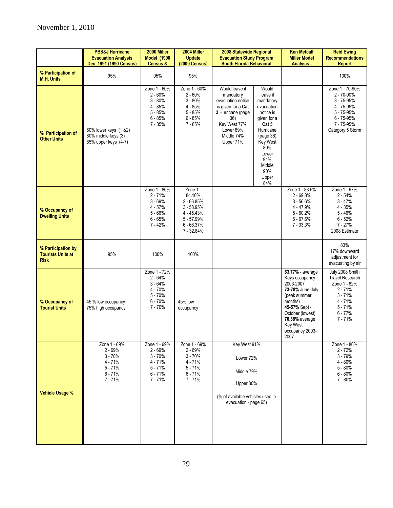|                                                               | <b>PBS&amp;J Hurricane</b><br><b>Evacuation Analysis</b><br>Dec. 1991 (1990 Census)      | 2000 Miller<br><b>Model (1990)</b><br>Census &                                             | 2004 Miller<br><b>Update</b><br><b>(2000 Census)</b>                                                         | 2008 Statewide Regional<br><b>Evacuation Study Program</b><br><b>South Florida Behavioral</b>                                                              |                                                                                                                                                                                        | <b>Ken Metcalf</b><br><b>Miller Model</b><br>Analysis -                                                                                                                                             | <b>Reid Ewing</b><br><b>Recommendations</b><br><b>Report</b>                                                                            |
|---------------------------------------------------------------|------------------------------------------------------------------------------------------|--------------------------------------------------------------------------------------------|--------------------------------------------------------------------------------------------------------------|------------------------------------------------------------------------------------------------------------------------------------------------------------|----------------------------------------------------------------------------------------------------------------------------------------------------------------------------------------|-----------------------------------------------------------------------------------------------------------------------------------------------------------------------------------------------------|-----------------------------------------------------------------------------------------------------------------------------------------|
| % Participation of<br><b>M.H. Units</b>                       | 95%                                                                                      | 95%                                                                                        | 95%                                                                                                          |                                                                                                                                                            |                                                                                                                                                                                        |                                                                                                                                                                                                     | 100%                                                                                                                                    |
| % Participation of<br><b>Other Units</b>                      | 60% lower keys (1 &2)<br>80% middle keys (3)<br>85% upper keys (4-7)                     | Zone 1 - 60%<br>$2 - 60%$<br>$3 - 80%$<br>$4 - 85%$<br>$5 - 85%$<br>$6 - 85%$<br>$7 - 85%$ | Zone 1 - 60%<br>$2 - 60%$<br>$3 - 80%$<br>$4 - 85%$<br>$5 - 85%$<br>$6 - 85%$<br>$7 - 85%$                   | Would leave if<br>mandatory<br>evacuation notice<br>is given for a Cat<br>3 Hurricane (page<br>36)<br>Key West 77%<br>Lower 69%<br>Middle 74%<br>Upper 71% | Would<br>leave if<br>mandatory<br>evacuation<br>notice is<br>given for a<br>Cat 5<br>Hurricane<br>(page 36)<br><b>Key West</b><br>89%<br>Lower<br>91%<br>Middle<br>90%<br>Upper<br>84% |                                                                                                                                                                                                     | Zone 1 - 70-90%<br>2 - 70-90%<br>$3 - 75 - 95%$<br>4 - 75-95%<br>5 - 75-95%<br>$6 - 75 - 95%$<br>7 - 75-95%<br>Category 5 Storm         |
| % Occupancy of<br><b>Dwelling Units</b>                       |                                                                                          | Zone 1 - 86%<br>$2 - 71%$<br>$3 - 69%$<br>$4 - 57%$<br>$5 - 66%$<br>$6 - 65%$<br>7 - 42%   | Zone 1 -<br>84.10%<br>$2 - 66.85%$<br>$3 - 58.95%$<br>4 - 45.43%<br>5 - 57.99%<br>$6 - 66.37%$<br>7 - 32.84% |                                                                                                                                                            |                                                                                                                                                                                        | Zone 1 - 83.5%<br>$2 - 69.8%$<br>$3 - 56.6%$<br>$4 - 47.9%$<br>$5 - 60.2%$<br>$6 - 67.6%$<br>$7 - 33.3%$                                                                                            | Zone 1 - 67%<br>$2 - 54%$<br>$3 - 47%$<br>$4 - 35%$<br>$5 - 46%$<br>$6 - 52%$<br>$7 - 27%$<br>2008 Estimate                             |
| % Participation by<br><b>Tourists Units at</b><br><b>Risk</b> | 95%                                                                                      | 100%                                                                                       | 100%                                                                                                         |                                                                                                                                                            |                                                                                                                                                                                        |                                                                                                                                                                                                     | 83%<br>17% downward<br>adjustment for<br>evacuating by air                                                                              |
| % Occupancy of<br><b>Tourist Units</b>                        | 45 % low occupancy<br>75% high occupancy                                                 | Zone 1 - 72%<br>$2 - 64%$<br>$3 - 64%$<br>$4 - 70%$<br>$5 - 70%$<br>$6 - 70%$<br>$7 - 70%$ | 45% low<br>occupancy                                                                                         |                                                                                                                                                            |                                                                                                                                                                                        | 63.77% - average<br>Keys occupancy<br>2003-2007<br>73-78% June-July<br>(peak summer<br>months)<br>45-57% Sept -<br>October (lowest)<br>70.38% average<br><b>Key West</b><br>occupancy 2003-<br>2007 | July 2008 Smith<br><b>Travel Research</b><br>Zone 1 - 82%<br>$2 - 71%$<br>$3 - 71%$<br>$4 - 71%$<br>$5 - 71%$<br>$6 - 77%$<br>$7 - 71%$ |
| <b>Vehicle Usage %</b>                                        | Zone 1 - 69%<br>2 - 69%<br>$3 - 70%$<br>$4 - 71%$<br>$5 - 71%$<br>$6 - 71%$<br>$7 - 71%$ | Zone 1 - 69%<br>$2 - 69%$<br>$3 - 70%$<br>$4 - 71%$<br>$5 - 71%$<br>$6 - 71%$<br>$7 - 71%$ | Zone 1 - 69%<br>$2 - 69%$<br>$3 - 70%$<br>$4 - 71%$<br>$5 - 71%$<br>$6 - 71%$<br>$7 - 71%$                   | Key West 91%<br>Lower 72%<br>Middle 79%<br>Upper 80%<br>(% of available vehicles used in<br>evacuation - page 65)                                          |                                                                                                                                                                                        |                                                                                                                                                                                                     | Zone 1 - 80%<br>$2 - 72%$<br>$3 - 79%$<br>$4 - 80%$<br>$5 - 80%$<br>$6 - 80%$<br>7 - 80%                                                |